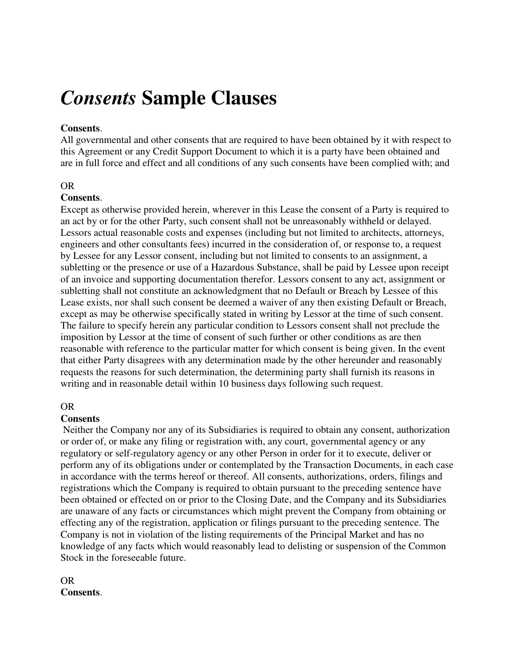# *Consents* **Sample Clauses**

### **Consents**.

All governmental and other consents that are required to have been obtained by it with respect to this Agreement or any Credit Support Document to which it is a party have been obtained and are in full force and effect and all conditions of any such consents have been complied with; and

#### OR

#### **Consents**.

Except as otherwise provided herein, wherever in this Lease the consent of a Party is required to an act by or for the other Party, such consent shall not be unreasonably withheld or delayed. Lessors actual reasonable costs and expenses (including but not limited to architects, attorneys, engineers and other consultants fees) incurred in the consideration of, or response to, a request by Lessee for any Lessor consent, including but not limited to consents to an assignment, a subletting or the presence or use of a Hazardous Substance, shall be paid by Lessee upon receipt of an invoice and supporting documentation therefor. Lessors consent to any act, assignment or subletting shall not constitute an acknowledgment that no Default or Breach by Lessee of this Lease exists, nor shall such consent be deemed a waiver of any then existing Default or Breach, except as may be otherwise specifically stated in writing by Lessor at the time of such consent. The failure to specify herein any particular condition to Lessors consent shall not preclude the imposition by Lessor at the time of consent of such further or other conditions as are then reasonable with reference to the particular matter for which consent is being given. In the event that either Party disagrees with any determination made by the other hereunder and reasonably requests the reasons for such determination, the determining party shall furnish its reasons in writing and in reasonable detail within 10 business days following such request.

#### OR

#### **Consents**

 Neither the Company nor any of its Subsidiaries is required to obtain any consent, authorization or order of, or make any filing or registration with, any court, governmental agency or any regulatory or self-regulatory agency or any other Person in order for it to execute, deliver or perform any of its obligations under or contemplated by the Transaction Documents, in each case in accordance with the terms hereof or thereof. All consents, authorizations, orders, filings and registrations which the Company is required to obtain pursuant to the preceding sentence have been obtained or effected on or prior to the Closing Date, and the Company and its Subsidiaries are unaware of any facts or circumstances which might prevent the Company from obtaining or effecting any of the registration, application or filings pursuant to the preceding sentence. The Company is not in violation of the listing requirements of the Principal Market and has no knowledge of any facts which would reasonably lead to delisting or suspension of the Common Stock in the foreseeable future.

## OR **Consents**.